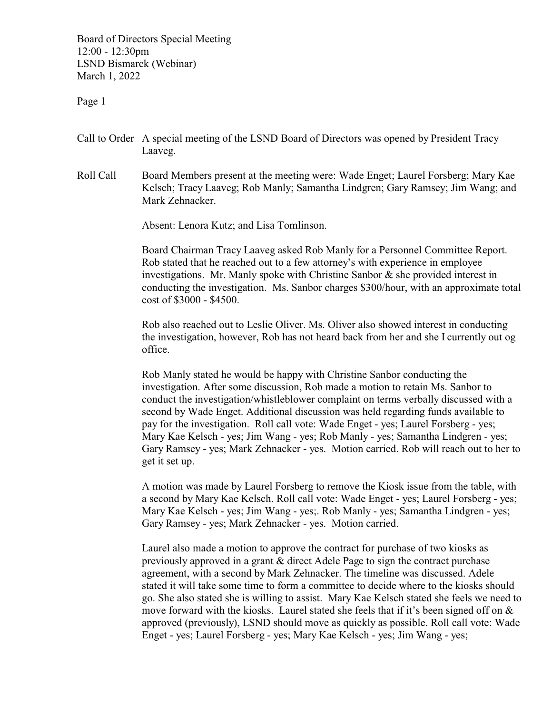Board of Directors Special Meeting 12:00 - 12:30pm LSND Bismarck (Webinar) March 1, 2022

Page 1

- Call to Order A special meeting of the LSND Board of Directors was opened by President Tracy Laaveg.
- Roll Call Board Members present at the meeting were: Wade Enget; Laurel Forsberg; Mary Kae Kelsch; Tracy Laaveg; Rob Manly; Samantha Lindgren; Gary Ramsey; Jim Wang; and Mark Zehnacker.

Absent: Lenora Kutz; and Lisa Tomlinson.

Board Chairman Tracy Laaveg asked Rob Manly for a Personnel Committee Report. Rob stated that he reached out to a few attorney's with experience in employee investigations. Mr. Manly spoke with Christine Sanbor  $\&$  she provided interest in conducting the investigation. Ms. Sanbor charges \$300/hour, with an approximate total cost of \$3000 - \$4500.

Rob also reached out to Leslie Oliver. Ms. Oliver also showed interest in conducting the investigation, however, Rob has not heard back from her and she I currently out og office.

Rob Manly stated he would be happy with Christine Sanbor conducting the investigation. After some discussion, Rob made a motion to retain Ms. Sanbor to conduct the investigation/whistleblower complaint on terms verbally discussed with a second by Wade Enget. Additional discussion was held regarding funds available to pay for the investigation. Roll call vote: Wade Enget - yes; Laurel Forsberg - yes; Mary Kae Kelsch - yes; Jim Wang - yes; Rob Manly - yes; Samantha Lindgren - yes; Gary Ramsey - yes; Mark Zehnacker - yes. Motion carried. Rob will reach out to her to get it set up.

A motion was made by Laurel Forsberg to remove the Kiosk issue from the table, with a second by Mary Kae Kelsch. Roll call vote: Wade Enget - yes; Laurel Forsberg - yes; Mary Kae Kelsch - yes; Jim Wang - yes;. Rob Manly - yes; Samantha Lindgren - yes; Gary Ramsey - yes; Mark Zehnacker - yes. Motion carried.

Laurel also made a motion to approve the contract for purchase of two kiosks as previously approved in a grant & direct Adele Page to sign the contract purchase agreement, with a second by Mark Zehnacker. The timeline was discussed. Adele stated it will take some time to form a committee to decide where to the kiosks should go. She also stated she is willing to assist. Mary Kae Kelsch stated she feels we need to move forward with the kiosks. Laurel stated she feels that if it's been signed off on  $\&$ approved (previously), LSND should move as quickly as possible. Roll call vote: Wade Enget - yes; Laurel Forsberg - yes; Mary Kae Kelsch - yes; Jim Wang - yes;